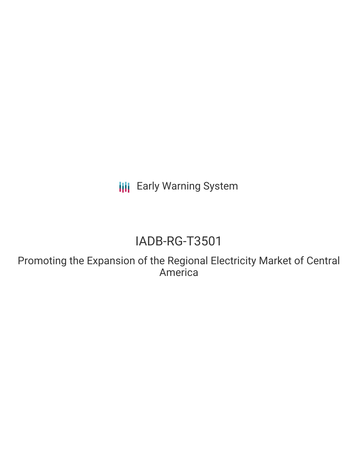**III** Early Warning System

# IADB-RG-T3501

Promoting the Expansion of the Regional Electricity Market of Central America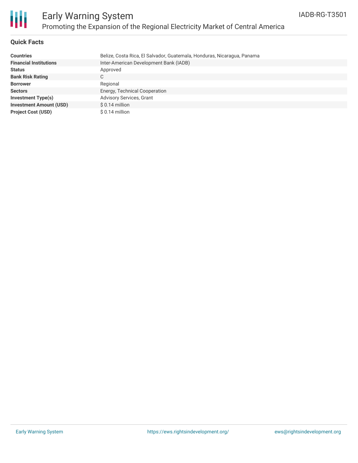

### **Quick Facts**

| <b>Countries</b>               | Belize, Costa Rica, El Salvador, Guatemala, Honduras, Nicaragua, Panama |
|--------------------------------|-------------------------------------------------------------------------|
| <b>Financial Institutions</b>  | Inter-American Development Bank (IADB)                                  |
| <b>Status</b>                  | Approved                                                                |
| <b>Bank Risk Rating</b>        | С                                                                       |
| <b>Borrower</b>                | Regional                                                                |
| <b>Sectors</b>                 | Energy, Technical Cooperation                                           |
| <b>Investment Type(s)</b>      | Advisory Services, Grant                                                |
| <b>Investment Amount (USD)</b> | $$0.14$ million                                                         |
| <b>Project Cost (USD)</b>      | $$0.14$ million                                                         |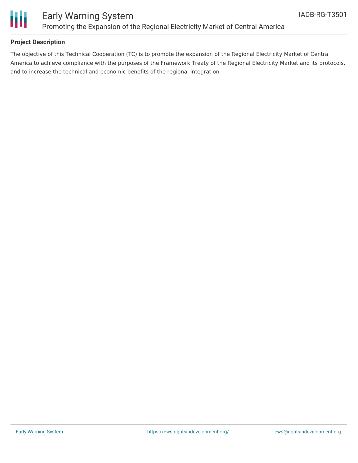

### **Project Description**

The objective of this Technical Cooperation (TC) is to promote the expansion of the Regional Electricity Market of Central America to achieve compliance with the purposes of the Framework Treaty of the Regional Electricity Market and its protocols, and to increase the technical and economic benefits of the regional integration.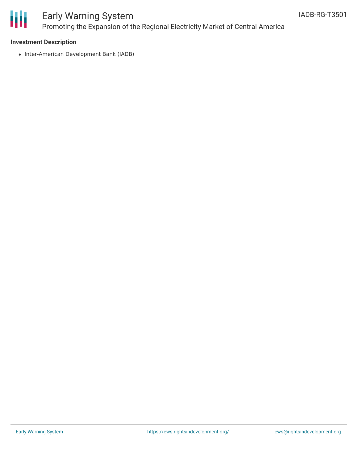

## Early Warning System Promoting the Expansion of the Regional Electricity Market of Central America

### **Investment Description**

• Inter-American Development Bank (IADB)